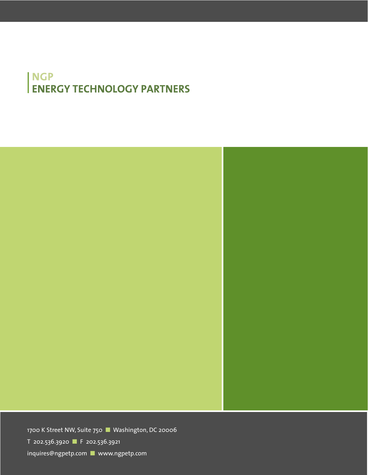# NGP **ENERGY TECHNOLOGY PARTNERS**

1700 K Street NW, Suite 750 ■ Washington, DC 20006

T 202.536.3920 ■ F 202.536.3921

inquires@ngpetp.com ■ www.ngpetp.com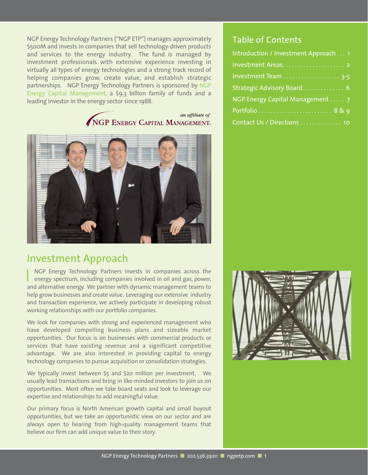NGP Energy Technology Partners ("NGP ETP") manages approximately \$500M and invests in companies that sell technology-driven products and services to the energy industry. The fund is managed by investment professionals with extensive experience investing in virtually all types of energy technologies and a strong track record of helping companies grow, create value, and establish strategic partnerships. NGP Energy Technology Partners is sponsored by NGP Energy Capital Management, a \$9.3 billion family of funds and a leading investor in the energy sector since 1988.

### an affiliate of NGP ENERGY CAPITAL MANAGEMENT



## Investment Approach

NGP Energy Technology Partners invests in companies across the energy spectrum, including companies involved in oil and gas, power, and alternative energy. We partner with dynamic management teams to help grow businesses and create value. Leveraging our extensive industry and transaction experience, we actively participate in developing robust working relationships with our portfolio companies.

We look for companies with strong and experienced management who have developed compelling business plans and sizeable market opportunities. Our focus is on businesses with commercial products or services that have existing revenue and a significant competitive advantage. We are also interested in providing capital to energy technology companies to pursue acquisition or consolidation strategies.

We typically invest between \$5 and \$20 million per investment. We usually lead transactions and bring in like-minded investors to join us on opportunities. Most often we take board seats and look to leverage our expertise and relationships to add meaningful value.

Our primary focus is North American growth capital and small buyout opportunities, but we take an opportunistic view on our sector and are always open to hearing from high-quality management teams that believe our firm can add unique value to their story.

## Table of Contents

| Introduction / Investment Approach 1 |
|--------------------------------------|
|                                      |
| Investment Team  3-5                 |
| Strategic Advisory Board 6           |
| NGP Energy Capital Management  7     |
|                                      |
| Contact Us / Directions  10          |

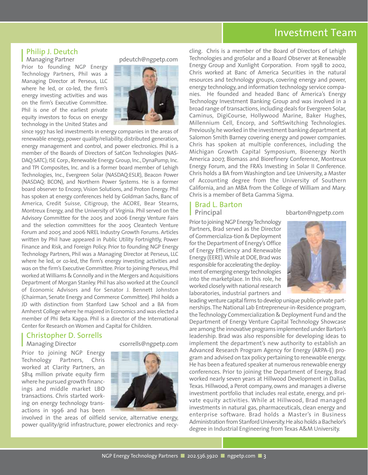## Investment Team

# Philip J. Deutch

Prior to founding NGP Energy Technology Partners, Phil was a Managing Director at Perseus, LLC where he led, or co-led, the firm's energy investing activities and was on the firm's Executive Committee. Phil is one of the earliest private equity investors to focus on energy technology in the United States and



since 1997 has led investments in energy companies in the areas of renewable energy, power quality/reliability, distributed generation, energy management and control, and power electronics. Phil is a member of the Boards of Directors of SatCon Technologies (NAS-DAQ:SATC); ISE Corp., Renewable Energy Group, Inc., DynaPump, Inc. and TPI Composites, Inc. and is a former board member of Lehigh Technologies, Inc., Evergreen Solar (NASDAQ:ESLR), Beacon Power (NASDAQ: BCON), and Northern Power Systems. He is a former board observer to Encorp, Vision Solutions, and Proton Energy. Phil has spoken at energy conferences held by Goldman Sachs, Banc of America, Credit Suisse, Citigroup, the ACORE, Bear Stearns, Montreux Energy, and the University of Virginia. Phil served on the Advisory Committee for the 2005 and 2006 Energy Venture Fairs and the selection committees for the 2005 Cleantech Venture Forum and 2005 and 2006 NREL Industry Growth Forums. Articles written by Phil have appeared in Public Utility Fortnightly, Power Finance and Risk, and Foreign Policy. Prior to founding NGP Energy Technology Partners, Phil was a Managing Director at Perseus, LLC where he led, or co-led, the firm's energy investing activities and was on the firm's Executive Committee. Prior to joining Perseus, Phil worked at Williams & Connolly and in the Mergers and Acquisitions Department of Morgan Stanley. Phil has also worked at the Council of Economic Advisors and for Senator J. Bennett Johnston (Chairman, Senate Energy and Commerce Committee). Phil holds a JD with distinction from Stanford Law School and a BA from Amherst College where he majored in Economics and was elected a member of Phi Beta Kappa. Phil is a director of the International Center for Research on Women and Capital for Children.

#### Christopher D. Sorrells Managing Director csorrells@ngpetp.com

Prior to joining NGP Energy Technology Partners, Chris worked at Clarity Partners, an \$814 million private equity firm where he pursued growth financings and middle market LBO transactions. Chris started working on energy technology transactions in 1996 and has been





involved in the areas of oilfield service, alternative energy, power quality/grid infrastructure, power electronics and recycling. Chris is a member of the Board of Directors of Lehigh Technologies and groSolar and a Board Observer at Renewable Energy Group and Xunlight Corporation. From 1998 to 2002, Chris worked at Banc of America Securities in the natural resources and technology groups, covering energy and power, energy technology, and information technology service companies. He founded and headed Banc of America's Energy Technology Investment Banking Group and was involved in a broad range of transactions, including deals for Evergreen Solar, Caminus, DigiCourse, Hollywood Marine, Baker Hughes, Millennium Cell, Encorp, and SoftSwitching Technologies. Previously,he worked in the investment banking department at Salomon Smith Barney covering energy and power companies. Chris has spoken at multiple conferences, including the Michigan Growth Capital Symposium, Bioenergy North America 2007, Biomass and Biorefinery Conference, Montreux Energy Forum, and the FRA's Investing in Solar II Conference. Chris holds a BA from Washington and Lee University, a Master of Accounting degree from the University of Southern California, and an MBA from the College of William and Mary. Chris is a member of Beta Gamma Sigma.

# Brad L. Barton

#### **Principal** bbarton@ngpetp.com

Prior to joining NGP Energy Technology Partners, Brad served as the Director of Commercializa-tion & Deployment for the Department of Energy's Office of Energy Efficiency and Renewable Energy (EERE).While at DOE,Brad was responsible for accelerating the deployment of emerging energy technologies into the marketplace. In this role, he worked closely with national research laboratories, industrial partners and



leading venture capital firms to develop unique public-private partnerships.The National Lab Entrepreneur-in-Residence program, the Technology Commercialization & Deployment Fund and the Department of Energy Venture Capital Technology Showcase are among the innovative programs implemented under Barton's leadership. Brad was also responsible for developing ideas to implement the department's new authority to establish an Advanced Research Program Agency for Energy (ARPA-E) program and advised on tax policy pertaining to renewable energy. He has been a featured speaker at numerous renewable energy conferences. Prior to joining the Department of Energy, Brad worked nearly seven years at Hillwood Development in Dallas, Texas. Hillwood, a Perot company, owns and manages a diverse investment portfolio that includes real estate, energy, and private equity activities. While at Hillwood, Brad managed investments in natural gas, pharmaceuticals, clean energy and enterprise software. Brad holds a Master's in Business Administration from Stanford University.He also holds a Bachelor's degree in Industrial Engineering from Texas A&M University.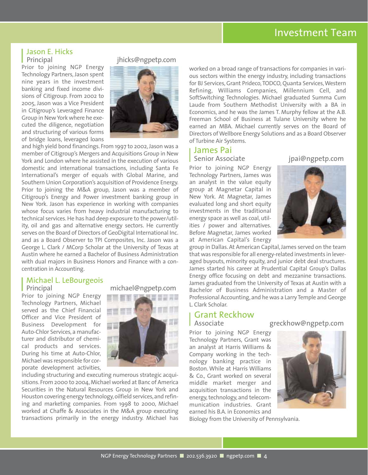## Investment Team

# Jason E. Hicks

Prior to joining NGP Energy Technology Partners, Jason spent nine years in the investment banking and fixed income divisions of Citigroup. From 2002 to 2005, Jason was a Vice President in Citigroup's Leveraged Finance Group in New York where he executed the diligence, negotiation and structuring of various forms of bridge loans, leveraged loans



jhicks@ngpetp.com

and high yield bond financings. From 1997 to 2002, Jason was a member of Citigroup's Mergers and Acquisitions Group in New York and London where he assisted in the execution of various domestic and international transactions, including Santa Fe International's merger of equals with Global Marine, and Southern Union Corporation's acquisition of Providence Energy. Prior to joining the M&A group, Jason was a member of Citigroup's Energy and Power investment banking group in New York. Jason has experience in working with companies whose focus varies from heavy industrial manufacturing to technical services. He has had deep exposure to the power/utility, oil and gas and alternative energy sectors. He currently serves on the Board of Directors of GeoDigital International Inc. and as a Board Observer to TPI Composites, Inc. Jason was a George L. Clark / MCorp Scholar at the University of Texas at Austin where he earned a Bachelor of Business Administration with dual majors in Business Honors and Finance with a concentration in Accounting.

## Michael L. LeBourgeois

Prior to joining NGP Energy Technology Partners, Michael served as the Chief Financial Officer and Vice President of Business Development for Auto-Chlor Services, a manufacturer and distributor of chemical products and services. During his time at Auto-Chlor, Michael was responsible for corporate development activities,





including structuring and executing numerous strategic acquisitions. From 2000 to 2004, Michael worked at Banc of America Securities in the Natural Resources Group in New York and Houston covering energy technology, oilfield services, and refining and marketing companies. From 1998 to 2000, Michael worked at Chaffe & Associates in the M&A group executing transactions primarily in the energy industry. Michael has

worked on a broad range of transactions for companies in various sectors within the energy industry, including transactions for BJ Services, Grant Prideco, TODCO, Quanta Services, Western Refining, Williams Companies, Millennium Cell, and SoftSwitching Technologies. Michael graduated Summa Cum Laude from Southern Methodist University with a BA in Economics, and he was the James T. Murphy fellow at the A.B. Freeman School of Business at Tulane University where he earned an MBA. Michael currently serves on the Board of Directors of Wellbore Energy Solutions and as a Board Observer of Turbine Air Systems.

# **James Pai<br>Senior Associate**

Prior to joining NGP Energy Technology Partners, James was an analyst in the value equity group at Magnetar Capital in New York. At Magnetar, James evaluated long and short equity investments in the traditional energy space as well as coal, utilities / power and alternatives. Before Magnetar, James worked at American Capital's Energy



jpai@ngpetp.com

group in Dallas. At American Capital, James served on the team that was responsible for all energy-related investments in leveraged buyouts, minority equity, and junior debt deal structures. James started his career at Prudential Capital Group's Dallas Energy office focusing on debt and mezzanine transactions. James graduated from the University of Texas at Austin with a Bachelor of Business Administration and a Master of Professional Accounting, and he was a Larry Temple and George L. Clark Scholar.

# **Grant Reckhow**<br>Associate

Prior to joining NGP Energy Technology Partners, Grant was an analyst at Harris Williams & Company working in the technology banking practice in Boston. While at Harris Williams & Co., Grant worked on several middle market merger and acquisition transactions in the energy, technology, and telecommunication industries. Grant earned his B.A. in Economics and

Biology from the University of Pennsylvania.

greckhow@ngpetp.com

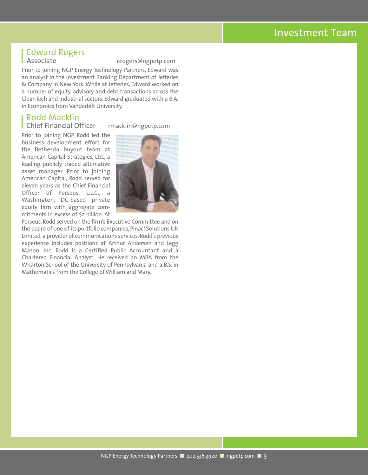## Investment Team

# **Edward Rogers**<br>Associate

erogers@ngpetp.com

Prior to joining NGP Energy Technology Partners, Edward was an analyst in the Investment Banking Department of Jefferies & Company in New York. While at Jefferies, Edward worked on a number of equity, advisory and debt transactions across the CleanTech and Industrial sectors. Edward graduated with a B.A. in Economics from Vanderbilt University.

## Rodd Macklin

Chief Financial Officer rmacklin@ngpetp.com

Prior to joining NGP, Rodd led the business development effort for the Bethesda buyout team at American Capital Strategies, Ltd., a leading publicly traded alternative asset manager. Prior to joining American Capital, Rodd served for eleven years as the Chief Financial Officer of Perseus, L.L.C., a Washington, DC-based private equity firm with aggregate commitments in excess of \$2 billion. At



Perseus, Rodd served on the firm's Executive Committee and on the board of one of its portfolio companies, Pinacl Solutions UK Limited, a provider of communications services. Rodd's previous experience includes positions at Arthur Andersen and Legg Mason, Inc. Rodd is a Certified Public Accountant and a Chartered Financial Analyst. He received an MBA from the Wharton School of the University of Pennsylvania and a B.S. in Mathematics from the College of William and Mary.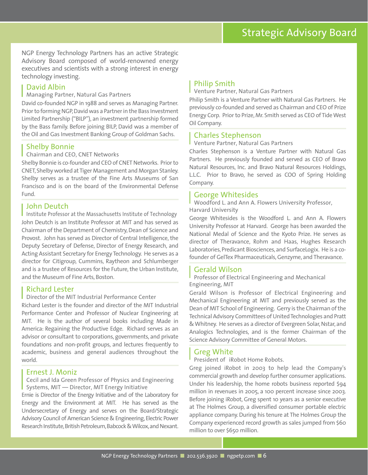# Strategic Advisory Board

NGP Energy Technology Partners has an active Strategic Advisory Board composed of world-renowned energy executives and scientists with a strong interest in energy technology investing.

### David Albin

#### Managing Partner, Natural Gas Partners

David co-founded NGP in 1988 and serves as Managing Partner. Prior to forming NGP,David was a Partner in the Bass Investment Limited Partnership ("BILP"), an investment partnership formed by the Bass family. Before joining BILP, David was a member of the Oil and Gas Investment Banking Group of Goldman Sachs.

#### Shelby Bonnie

#### Chairman and CEO, CNET Networks

Shelby Bonnie is co-founder and CEO of CNET Networks. Prior to CNET,Shelby worked at Tiger Management and Morgan Stanley. Shelby serves as a trustee of the Fine Arts Museums of San Francisco and is on the board of the Environmental Defense Fund.

#### John Deutch

I Institute Professor at the Massachusetts Institute of Technology John Deutch is an Institute Professor at MIT and has served as Chairman of the Department of Chemistry, Dean of Science and Provost. John has served as Director of Central Intelligence, the Deputy Secretary of Defense, Director of Energy Research, and Acting Assistant Secretary for Energy Technology. He serves as a director for Citigroup, Cummins, Raytheon and Schlumberger and is a trustee of Resources for the Future, the Urban Institute, and the Museum of Fine Arts, Boston.

#### Richard Lester

#### Director of the MIT Industrial Performance Center

Richard Lester is the founder and director of the MIT Industrial Performance Center and Professor of Nuclear Engineering at MIT. He is the author of several books including Made in America: Regaining the Productive Edge. Richard serves as an advisor or consultant to corporations, governments, and private foundations and non-profit groups, and lectures frequently to academic, business and general audiences throughout the world.

#### Ernest J. Moniz

Cecil and Ida Green Professor of Physics and Engineering Systems, MIT — Director, MIT Energy Initiative

Ernie is Director of the Energy Initiative and of the Laboratory for Energy and the Environment at MIT. He has served as the Undersecretary of Energy and serves on the Board/Strategic Advisory Council of American Science & Engineering, Electric Power Research Institute, British Petroleum, Babcock & Wilcox, and Nexant.

#### Philip Smith

#### Venture Partner, Natural Gas Partners

Philip Smith is a Venture Partner with Natural Gas Partners. He previously co-founded and served as Chairman and CEO of Prize Energy Corp. Prior to Prize, Mr. Smith served as CEO of Tide West Oil Company.

#### Charles Stephenson

#### Venture Partner, Natural Gas Partners

Charles Stephenson is a Venture Partner with Natural Gas Partners. He previously founded and served as CEO of Bravo Natural Resources, Inc. and Bravo Natural Resources Holdings, L.L.C. Prior to Bravo, he served as COO of Spring Holding Company.

#### George Whitesides

Woodford L. and Ann A. Flowers University Professor, Harvard University

George Whitesides is the Woodford L. and Ann A. Flowers University Professor at Harvard. George has been awarded the National Medal of Science and the Kyoto Prize. He serves as director of Theravance, Rohm and Haas, Hughes Research Laboratories, Predicant Biosciences, and SurfaceLogix. He is a cofounder of GelTex Pharmaceuticals, Genzyme, and Theravance.

#### Gerald Wilson

#### Professor of Electrical Engineering and Mechanical Engineering, MIT

Gerald Wilson is Professor of Electrical Engineering and Mechanical Engineering at MIT and previously served as the Dean of MIT School of Engineering. Gerry is the Chairman of the Technical Advisory Committees of United Technologies and Pratt & Whitney. He serves as a director of Evergreen Solar, Nstar, and Analogics Technologies, and is the former Chairman of the Science Advisory Committee of General Motors.

#### Greg White

President of iRobot Home Robots.

Greg joined iRobot in 2003 to help lead the Company's commercial growth and develop further consumer applications. Under his leadership, the home robots business reported \$94 million in revenues in 2005, a 100 percent increase since 2003. Before joining iRobot, Greg spent 10 years as a senior executive at The Holmes Group, a diversified consumer portable electric appliance company. During his tenure at The Holmes Group the Company experienced record growth as sales jumped from \$60 million to over \$650 million.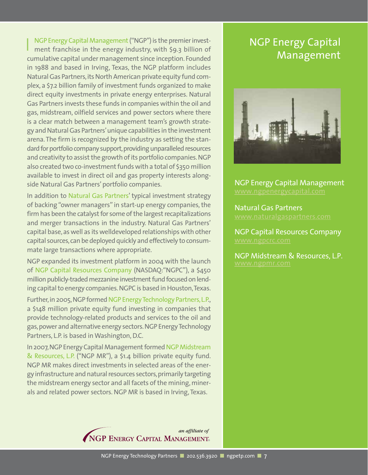NGP Energy Capital Management("NGP") is the premier investment franchise in the energy industry, with \$9.3 billion of cumulative capital under management since inception. Founded in 1988 and based in Irving, Texas, the NGP platform includes Natural Gas Partners, its North American private equity fund complex, a \$7.2 billion family of investment funds organized to make direct equity investments in private energy enterprises. Natural Gas Partners invests these funds in companies within the oil and gas, midstream, oilfield services and power sectors where there is a clear match between a management team's growth strategy and Natural Gas Partners'unique capabilities in the investment arena. The firm is recognized by the industry as setting the standard for portfolio company support, providing unparalleled resources and creativity to assist the growth of its portfolio companies.NGP also created two co-investment funds with a total of \$350 million available to invest in direct oil and gas property interests alongside Natural Gas Partners' portfolio companies.

In addition to Natural Gas Partners' typical investment strategy of backing "owner managers" in start-up energy companies, the firm has been the catalyst for some of the largest recapitalizations and merger transactions in the industry. Natural Gas Partners' capital base,as well as its welldeveloped relationships with other capital sources, can be deployed quickly and effectively to consummate large transactions where appropriate.

NGP expanded its investment platform in 2004 with the launch of NGP Capital Resources Company (NASDAQ:"NGPC"), a \$450 million publicly-traded mezzanine investment fund focused on lending capital to energy companies.NGPC is based in Houston,Texas.

Further, in 2005, NGP formed NGP Energy Technology Partners, L.P., a \$148 million private equity fund investing in companies that provide technology-related products and services to the oil and gas,power and alternative energy sectors.NGP Energy Technology Partners, L.P. is based in Washington, D.C.

In 2007,NGP Energy Capital Management formed NGP Midstream & Resources, L.P. ("NGP MR"), a \$1.4 billion private equity fund. NGP MR makes direct investments in selected areas of the energy infrastructure and natural resources sectors,primarily targeting the midstream energy sector and all facets of the mining, minerals and related power sectors. NGP MR is based in Irving, Texas.

> an affiliate of NGP ENERGY CAPITAL MANAGEMENT.

# NGP Energy Capital Management



NGP Energy Capital Management www.ngpenergycapital.com

Natural Gas Partners

NGP Capital Resources Company

NGP Midstream & Resources, L.P.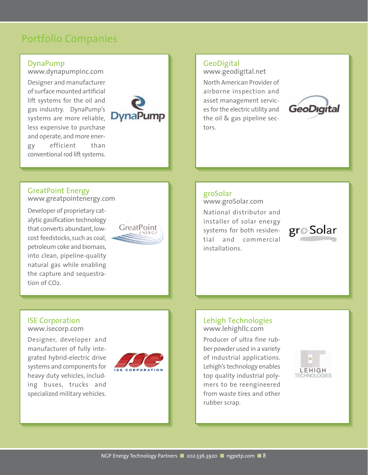# Portfolio Companies

### DynaPump

www.dynapumpinc.com

Designer and manufacturer of surface mounted artificial lift systems for the oil and gas industry. DynaPump's systems are more reliable, less expensive to purchase and operate, and more energy efficient than conventional rod lift systems.



### **GeoDigital**

www.geodigital.net

North American Provider of airborne inspection and asset management services for the electric utility and the oil & gas pipeline sectors.



## GreatPoint Energy

www.greatpointenergy.com

Developer of proprietary catalytic gasification technology that converts abundant, lowcost feedstocks, such as coal, petroleum coke and biomass, into clean, pipeline-quality natural gas while enabling the capture and sequestration of CO2.



## groSolar

www.groSolar.com National distributor and installer of solar energy systems for both residential and commercial installations.



### Lehigh Technologies www.lehighllc.com

Producer of ultra fine rubber powder used in a variety of industrial applications. Lehigh's technology enables top quality industrial polymers to be reengineered from waste tires and other rubber scrap.



#### ISE Corporation www.isecorp.com

Designer, developer and manufacturer of fully integrated hybrid-electric drive systems and components for heavy duty vehicles, including buses, trucks and specialized military vehicles.

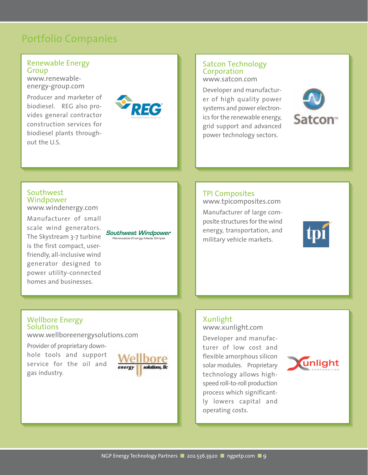# Portfolio Companies

#### Renewable Energy Group

www.renewableenergy-group.com

Producer and marketer of biodiesel. REG also provides general contractor construction services for biodiesel plants throughout the U.S.



## Satcon Technology Corporation

www.satcon.com

Developer and manufacturer of high quality power systems and power electronics for the renewable energy, grid support and advanced power technology sectors.



#### **Southwest** Windpower www.windenergy.com

Manufacturer of small scale wind generators. The Skystream 3-7 turbine is the first compact, userfriendly, all-inclusive wind generator designed to power utility-connected homes and businesses.

**Southwest Windpower** Renewable Energy Made Simple

## TPI Composites

www.tpicomposites.com

Manufacturer of large composite structures for the wind energy, transportation, and military vehicle markets.



## Xunlight

www.xunlight.com

Developer and manufacturer of low cost and flexible amorphous silicon solar modules. Proprietary technology allows highspeed roll-to-roll production process which significantly lowers capital and operating costs.



## Wellbore Energy **Solutions**

www.wellboreenergysolutions.com

Provider of proprietary downhole tools and support service for the oil and gas industry.